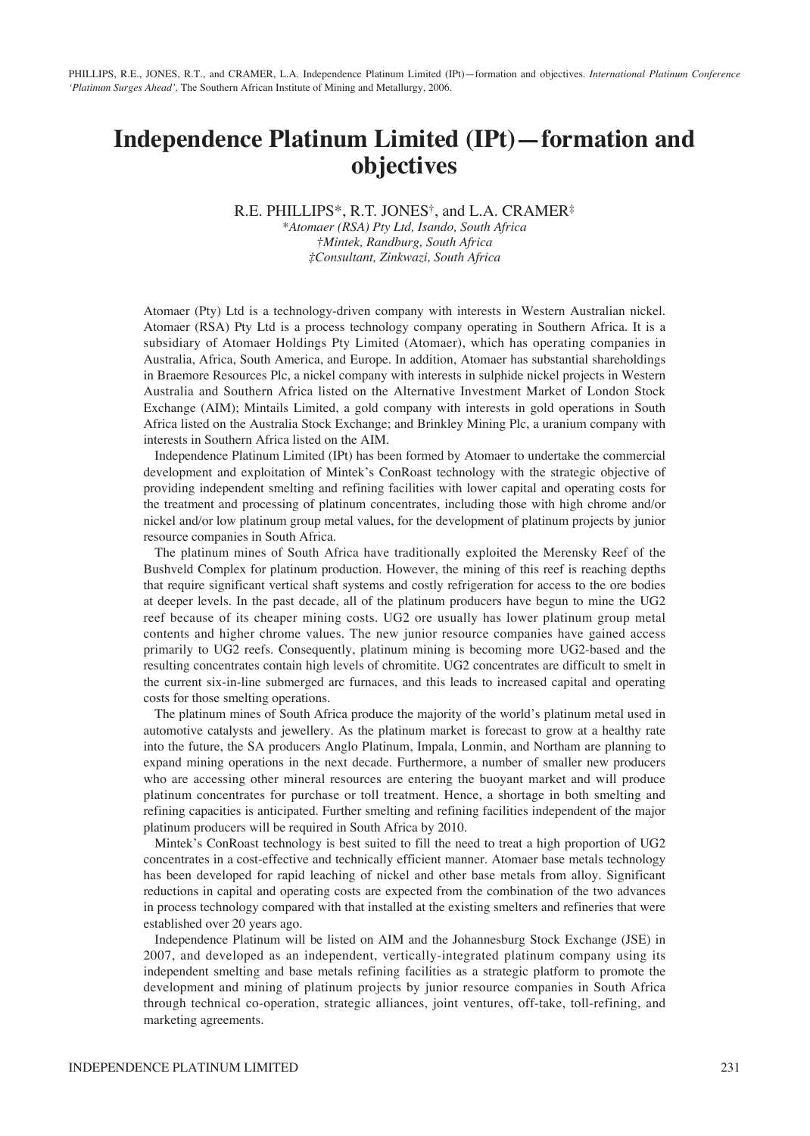# **Independence Platinum Limited (IPt)—formation and objectives**

R.E. PHILLIPS\*, R.T. JONES†, and L.A. CRAMER‡

*\*Atomaer (RSA) Pty Ltd, Isando, South Africa †Mintek, Randburg, South Africa ‡Consultant, Zinkwazi, South Africa*

Atomaer (Pty) Ltd is a technology-driven company with interests in Western Australian nickel. Atomaer (RSA) Pty Ltd is a process technology company operating in Southern Africa. It is a subsidiary of Atomaer Holdings Pty Limited (Atomaer), which has operating companies in Australia, Africa, South America, and Europe. In addition, Atomaer has substantial shareholdings in Braemore Resources Plc, a nickel company with interests in sulphide nickel projects in Western Australia and Southern Africa listed on the Alternative Investment Market of London Stock Exchange (AIM); Mintails Limited, a gold company with interests in gold operations in South Africa listed on the Australia Stock Exchange; and Brinkley Mining Plc, a uranium company with interests in Southern Africa listed on the AIM.

Independence Platinum Limited (IPt) has been formed by Atomaer to undertake the commercial development and exploitation of Mintek's ConRoast technology with the strategic objective of providing independent smelting and refining facilities with lower capital and operating costs for the treatment and processing of platinum concentrates, including those with high chrome and/or nickel and/or low platinum group metal values, for the development of platinum projects by junior resource companies in South Africa.

The platinum mines of South Africa have traditionally exploited the Merensky Reef of the Bushveld Complex for platinum production. However, the mining of this reef is reaching depths that require significant vertical shaft systems and costly refrigeration for access to the ore bodies at deeper levels. In the past decade, all of the platinum producers have begun to mine the UG2 reef because of its cheaper mining costs. UG2 ore usually has lower platinum group metal contents and higher chrome values. The new junior resource companies have gained access primarily to UG2 reefs. Consequently, platinum mining is becoming more UG2-based and the resulting concentrates contain high levels of chromitite. UG2 concentrates are difficult to smelt in the current six-in-line submerged arc furnaces, and this leads to increased capital and operating costs for those smelting operations.

The platinum mines of South Africa produce the majority of the world's platinum metal used in automotive catalysts and jewellery. As the platinum market is forecast to grow at a healthy rate into the future, the SA producers Anglo Platinum, Impala, Lonmin, and Northam are planning to expand mining operations in the next decade. Furthermore, a number of smaller new producers who are accessing other mineral resources are entering the buoyant market and will produce platinum concentrates for purchase or toll treatment. Hence, a shortage in both smelting and refining capacities is anticipated. Further smelting and refining facilities independent of the major platinum producers will be required in South Africa by 2010.

Mintek's ConRoast technology is best suited to fill the need to treat a high proportion of UG2 concentrates in a cost-effective and technically efficient manner. Atomaer base metals technology has been developed for rapid leaching of nickel and other base metals from alloy. Significant reductions in capital and operating costs are expected from the combination of the two advances in process technology compared with that installed at the existing smelters and refineries that were established over 20 years ago.

Independence Platinum will be listed on AIM and the Johannesburg Stock Exchange (JSE) in 2007, and developed as an independent, vertically-integrated platinum company using its independent smelting and base metals refining facilities as a strategic platform to promote the development and mining of platinum projects by junior resource companies in South Africa through technical co-operation, strategic alliances, joint ventures, off-take, toll-refining, and marketing agreements.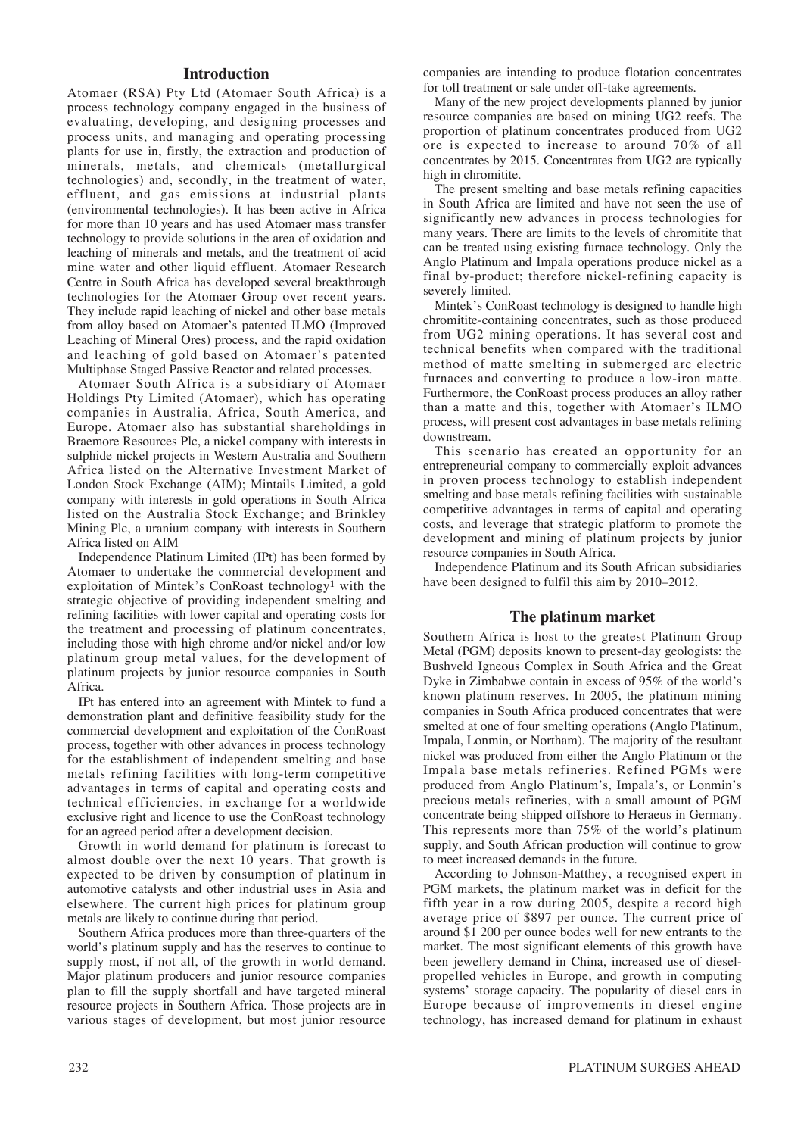# **Introduction**

Atomaer (RSA) Pty Ltd (Atomaer South Africa) is a process technology company engaged in the business of evaluating, developing, and designing processes and process units, and managing and operating processing plants for use in, firstly, the extraction and production of minerals, metals, and chemicals (metallurgical technologies) and, secondly, in the treatment of water, effluent, and gas emissions at industrial plants (environmental technologies). It has been active in Africa for more than 10 years and has used Atomaer mass transfer technology to provide solutions in the area of oxidation and leaching of minerals and metals, and the treatment of acid mine water and other liquid effluent. Atomaer Research Centre in South Africa has developed several breakthrough technologies for the Atomaer Group over recent years. They include rapid leaching of nickel and other base metals from alloy based on Atomaer's patented ILMO (Improved Leaching of Mineral Ores) process, and the rapid oxidation and leaching of gold based on Atomaer's patented Multiphase Staged Passive Reactor and related processes.

Atomaer South Africa is a subsidiary of Atomaer Holdings Pty Limited (Atomaer), which has operating companies in Australia, Africa, South America, and Europe. Atomaer also has substantial shareholdings in Braemore Resources Plc, a nickel company with interests in sulphide nickel projects in Western Australia and Southern Africa listed on the Alternative Investment Market of London Stock Exchange (AIM); Mintails Limited, a gold company with interests in gold operations in South Africa listed on the Australia Stock Exchange; and Brinkley Mining Plc, a uranium company with interests in Southern Africa listed on AIM

Independence Platinum Limited (IPt) has been formed by Atomaer to undertake the commercial development and exploitation of Mintek's ConRoast technology**<sup>1</sup>** with the strategic objective of providing independent smelting and refining facilities with lower capital and operating costs for the treatment and processing of platinum concentrates, including those with high chrome and/or nickel and/or low platinum group metal values, for the development of platinum projects by junior resource companies in South Africa.

IPt has entered into an agreement with Mintek to fund a demonstration plant and definitive feasibility study for the commercial development and exploitation of the ConRoast process, together with other advances in process technology for the establishment of independent smelting and base metals refining facilities with long-term competitive advantages in terms of capital and operating costs and technical efficiencies, in exchange for a worldwide exclusive right and licence to use the ConRoast technology for an agreed period after a development decision.

Growth in world demand for platinum is forecast to almost double over the next 10 years. That growth is expected to be driven by consumption of platinum in automotive catalysts and other industrial uses in Asia and elsewhere. The current high prices for platinum group metals are likely to continue during that period.

Southern Africa produces more than three-quarters of the world's platinum supply and has the reserves to continue to supply most, if not all, of the growth in world demand. Major platinum producers and junior resource companies plan to fill the supply shortfall and have targeted mineral resource projects in Southern Africa. Those projects are in various stages of development, but most junior resource companies are intending to produce flotation concentrates for toll treatment or sale under off-take agreements.

Many of the new project developments planned by junior resource companies are based on mining UG2 reefs. The proportion of platinum concentrates produced from UG2 ore is expected to increase to around 70% of all concentrates by 2015. Concentrates from UG2 are typically high in chromitite.

The present smelting and base metals refining capacities in South Africa are limited and have not seen the use of significantly new advances in process technologies for many years. There are limits to the levels of chromitite that can be treated using existing furnace technology. Only the Anglo Platinum and Impala operations produce nickel as a final by-product; therefore nickel-refining capacity is severely limited.

Mintek's ConRoast technology is designed to handle high chromitite-containing concentrates, such as those produced from UG2 mining operations. It has several cost and technical benefits when compared with the traditional method of matte smelting in submerged arc electric furnaces and converting to produce a low-iron matte. Furthermore, the ConRoast process produces an alloy rather than a matte and this, together with Atomaer's ILMO process, will present cost advantages in base metals refining downstream.

This scenario has created an opportunity for an entrepreneurial company to commercially exploit advances in proven process technology to establish independent smelting and base metals refining facilities with sustainable competitive advantages in terms of capital and operating costs, and leverage that strategic platform to promote the development and mining of platinum projects by junior resource companies in South Africa.

Independence Platinum and its South African subsidiaries have been designed to fulfil this aim by 2010–2012.

# **The platinum market**

Southern Africa is host to the greatest Platinum Group Metal (PGM) deposits known to present-day geologists: the Bushveld Igneous Complex in South Africa and the Great Dyke in Zimbabwe contain in excess of 95% of the world's known platinum reserves. In 2005, the platinum mining companies in South Africa produced concentrates that were smelted at one of four smelting operations (Anglo Platinum, Impala, Lonmin, or Northam). The majority of the resultant nickel was produced from either the Anglo Platinum or the Impala base metals refineries. Refined PGMs were produced from Anglo Platinum's, Impala's, or Lonmin's precious metals refineries, with a small amount of PGM concentrate being shipped offshore to Heraeus in Germany. This represents more than 75% of the world's platinum supply, and South African production will continue to grow to meet increased demands in the future.

According to Johnson-Matthey, a recognised expert in PGM markets, the platinum market was in deficit for the fifth year in a row during 2005, despite a record high average price of \$897 per ounce. The current price of around \$1 200 per ounce bodes well for new entrants to the market. The most significant elements of this growth have been jewellery demand in China, increased use of dieselpropelled vehicles in Europe, and growth in computing systems' storage capacity. The popularity of diesel cars in Europe because of improvements in diesel engine technology, has increased demand for platinum in exhaust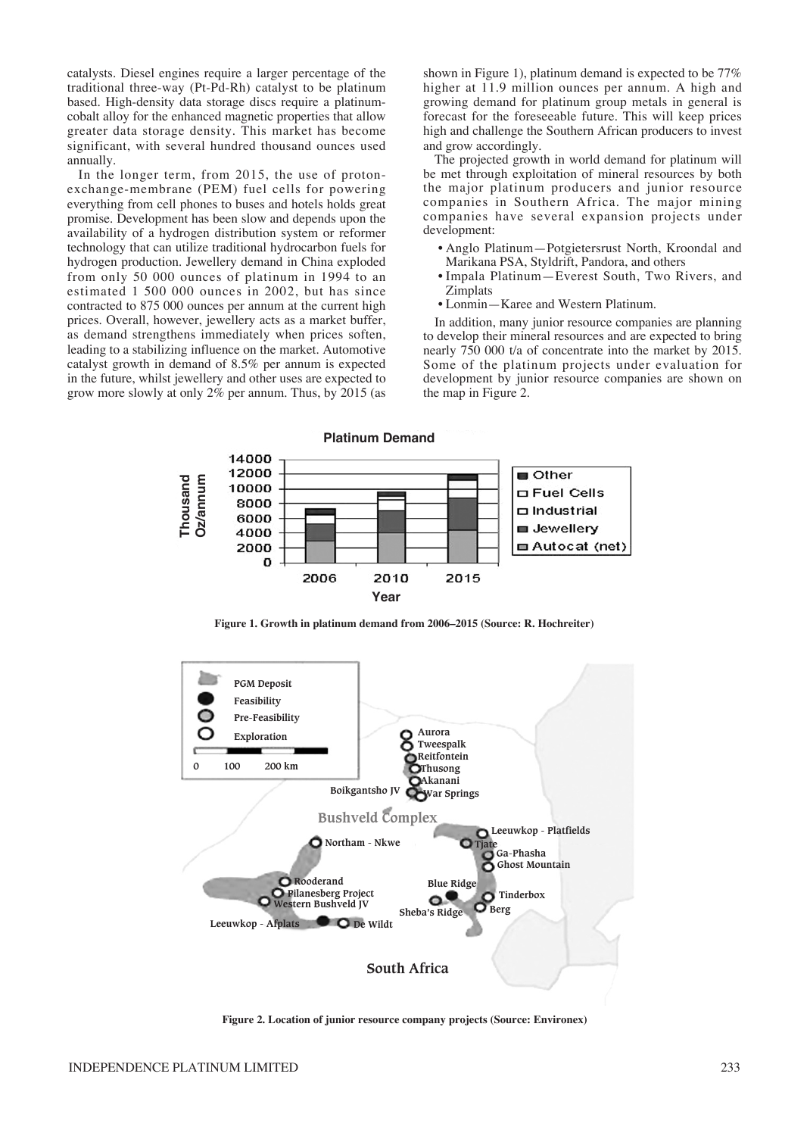catalysts. Diesel engines require a larger percentage of the traditional three-way (Pt-Pd-Rh) catalyst to be platinum based. High-density data storage discs require a platinumcobalt alloy for the enhanced magnetic properties that allow greater data storage density. This market has become significant, with several hundred thousand ounces used annually.

In the longer term, from 2015, the use of protonexchange-membrane (PEM) fuel cells for powering everything from cell phones to buses and hotels holds great promise. Development has been slow and depends upon the availability of a hydrogen distribution system or reformer technology that can utilize traditional hydrocarbon fuels for hydrogen production. Jewellery demand in China exploded from only 50 000 ounces of platinum in 1994 to an estimated 1 500 000 ounces in 2002, but has since contracted to 875 000 ounces per annum at the current high prices. Overall, however, jewellery acts as a market buffer, as demand strengthens immediately when prices soften, leading to a stabilizing influence on the market. Automotive catalyst growth in demand of 8.5% per annum is expected in the future, whilst jewellery and other uses are expected to grow more slowly at only 2% per annum. Thus, by 2015 (as

shown in Figure 1), platinum demand is expected to be 77% higher at 11.9 million ounces per annum. A high and growing demand for platinum group metals in general is forecast for the foreseeable future. This will keep prices high and challenge the Southern African producers to invest and grow accordingly.

The projected growth in world demand for platinum will be met through exploitation of mineral resources by both the major platinum producers and junior resource companies in Southern Africa. The major mining companies have several expansion projects under development:

- Anglo Platinum—Potgietersrust North, Kroondal and Marikana PSA, Styldrift, Pandora, and others
- Impala Platinum—Everest South, Two Rivers, and Zimplats
- Lonmin—Karee and Western Platinum.

In addition, many junior resource companies are planning to develop their mineral resources and are expected to bring nearly 750 000 t/a of concentrate into the market by 2015. Some of the platinum projects under evaluation for development by junior resource companies are shown on the map in Figure 2.



**Figure 1. Growth in platinum demand from 2006–2015 (Source: R. Hochreiter)**



**Figure 2. Location of junior resource company projects (Source: Environex)**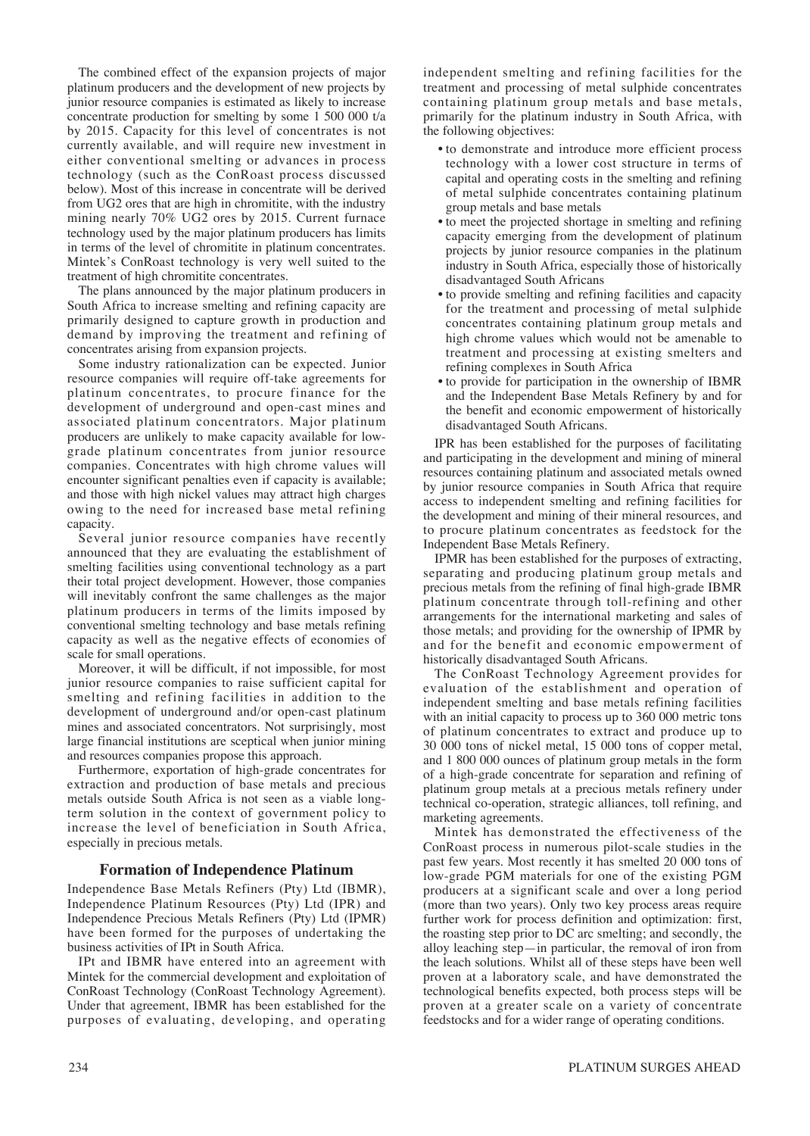The combined effect of the expansion projects of major platinum producers and the development of new projects by junior resource companies is estimated as likely to increase concentrate production for smelting by some 1 500 000 t/a by 2015. Capacity for this level of concentrates is not currently available, and will require new investment in either conventional smelting or advances in process technology (such as the ConRoast process discussed below). Most of this increase in concentrate will be derived from UG2 ores that are high in chromitite, with the industry mining nearly 70% UG2 ores by 2015. Current furnace technology used by the major platinum producers has limits in terms of the level of chromitite in platinum concentrates. Mintek's ConRoast technology is very well suited to the treatment of high chromitite concentrates.

The plans announced by the major platinum producers in South Africa to increase smelting and refining capacity are primarily designed to capture growth in production and demand by improving the treatment and refining of concentrates arising from expansion projects.

Some industry rationalization can be expected. Junior resource companies will require off-take agreements for platinum concentrates, to procure finance for the development of underground and open-cast mines and associated platinum concentrators. Major platinum producers are unlikely to make capacity available for lowgrade platinum concentrates from junior resource companies. Concentrates with high chrome values will encounter significant penalties even if capacity is available; and those with high nickel values may attract high charges owing to the need for increased base metal refining capacity.

Several junior resource companies have recently announced that they are evaluating the establishment of smelting facilities using conventional technology as a part their total project development. However, those companies will inevitably confront the same challenges as the major platinum producers in terms of the limits imposed by conventional smelting technology and base metals refining capacity as well as the negative effects of economies of scale for small operations.

Moreover, it will be difficult, if not impossible, for most junior resource companies to raise sufficient capital for smelting and refining facilities in addition to the development of underground and/or open-cast platinum mines and associated concentrators. Not surprisingly, most large financial institutions are sceptical when junior mining and resources companies propose this approach.

Furthermore, exportation of high-grade concentrates for extraction and production of base metals and precious metals outside South Africa is not seen as a viable longterm solution in the context of government policy to increase the level of beneficiation in South Africa, especially in precious metals.

#### **Formation of Independence Platinum**

Independence Base Metals Refiners (Pty) Ltd (IBMR), Independence Platinum Resources (Pty) Ltd (IPR) and Independence Precious Metals Refiners (Pty) Ltd (IPMR) have been formed for the purposes of undertaking the business activities of IPt in South Africa.

IPt and IBMR have entered into an agreement with Mintek for the commercial development and exploitation of ConRoast Technology (ConRoast Technology Agreement). Under that agreement, IBMR has been established for the purposes of evaluating, developing, and operating independent smelting and refining facilities for the treatment and processing of metal sulphide concentrates containing platinum group metals and base metals, primarily for the platinum industry in South Africa, with the following objectives:

- to demonstrate and introduce more efficient process technology with a lower cost structure in terms of capital and operating costs in the smelting and refining of metal sulphide concentrates containing platinum group metals and base metals
- to meet the projected shortage in smelting and refining capacity emerging from the development of platinum projects by junior resource companies in the platinum industry in South Africa, especially those of historically disadvantaged South Africans
- to provide smelting and refining facilities and capacity for the treatment and processing of metal sulphide concentrates containing platinum group metals and high chrome values which would not be amenable to treatment and processing at existing smelters and refining complexes in South Africa
- to provide for participation in the ownership of IBMR and the Independent Base Metals Refinery by and for the benefit and economic empowerment of historically disadvantaged South Africans.

IPR has been established for the purposes of facilitating and participating in the development and mining of mineral resources containing platinum and associated metals owned by junior resource companies in South Africa that require access to independent smelting and refining facilities for the development and mining of their mineral resources, and to procure platinum concentrates as feedstock for the Independent Base Metals Refinery.

IPMR has been established for the purposes of extracting, separating and producing platinum group metals and precious metals from the refining of final high-grade IBMR platinum concentrate through toll-refining and other arrangements for the international marketing and sales of those metals; and providing for the ownership of IPMR by and for the benefit and economic empowerment of historically disadvantaged South Africans.

The ConRoast Technology Agreement provides for evaluation of the establishment and operation of independent smelting and base metals refining facilities with an initial capacity to process up to 360 000 metric tons of platinum concentrates to extract and produce up to 30 000 tons of nickel metal, 15 000 tons of copper metal, and 1 800 000 ounces of platinum group metals in the form of a high-grade concentrate for separation and refining of platinum group metals at a precious metals refinery under technical co-operation, strategic alliances, toll refining, and marketing agreements.

Mintek has demonstrated the effectiveness of the ConRoast process in numerous pilot-scale studies in the past few years. Most recently it has smelted 20 000 tons of low-grade PGM materials for one of the existing PGM producers at a significant scale and over a long period (more than two years). Only two key process areas require further work for process definition and optimization: first, the roasting step prior to DC arc smelting; and secondly, the alloy leaching step—in particular, the removal of iron from the leach solutions. Whilst all of these steps have been well proven at a laboratory scale, and have demonstrated the technological benefits expected, both process steps will be proven at a greater scale on a variety of concentrate feedstocks and for a wider range of operating conditions.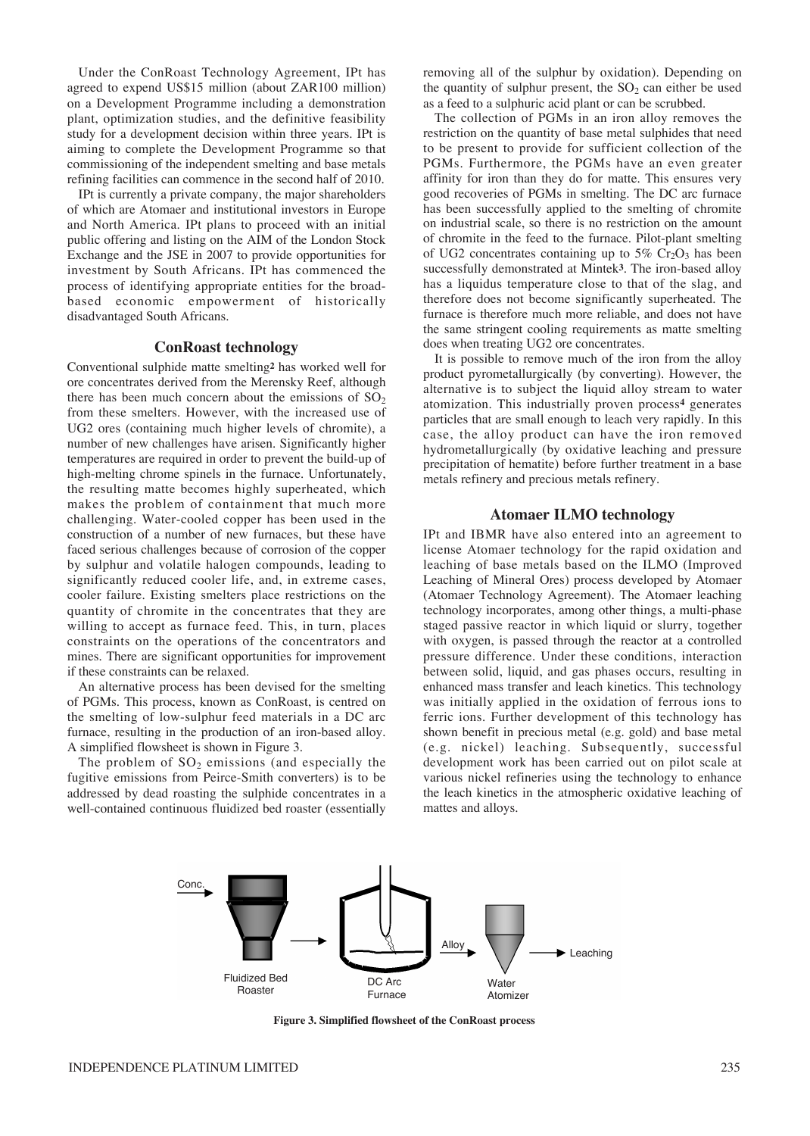Under the ConRoast Technology Agreement, IPt has agreed to expend US\$15 million (about ZAR100 million) on a Development Programme including a demonstration plant, optimization studies, and the definitive feasibility study for a development decision within three years. IPt is aiming to complete the Development Programme so that commissioning of the independent smelting and base metals refining facilities can commence in the second half of 2010.

IPt is currently a private company, the major shareholders of which are Atomaer and institutional investors in Europe and North America. IPt plans to proceed with an initial public offering and listing on the AIM of the London Stock Exchange and the JSE in 2007 to provide opportunities for investment by South Africans. IPt has commenced the process of identifying appropriate entities for the broadbased economic empowerment of historically disadvantaged South Africans.

### **ConRoast technology**

Conventional sulphide matte smelting**<sup>2</sup>** has worked well for ore concentrates derived from the Merensky Reef, although there has been much concern about the emissions of  $SO<sub>2</sub>$ from these smelters. However, with the increased use of UG2 ores (containing much higher levels of chromite), a number of new challenges have arisen. Significantly higher temperatures are required in order to prevent the build-up of high-melting chrome spinels in the furnace. Unfortunately, the resulting matte becomes highly superheated, which makes the problem of containment that much more challenging. Water-cooled copper has been used in the construction of a number of new furnaces, but these have faced serious challenges because of corrosion of the copper by sulphur and volatile halogen compounds, leading to significantly reduced cooler life, and, in extreme cases, cooler failure. Existing smelters place restrictions on the quantity of chromite in the concentrates that they are willing to accept as furnace feed. This, in turn, places constraints on the operations of the concentrators and mines. There are significant opportunities for improvement if these constraints can be relaxed.

An alternative process has been devised for the smelting of PGMs. This process, known as ConRoast, is centred on the smelting of low-sulphur feed materials in a DC arc furnace, resulting in the production of an iron-based alloy. A simplified flowsheet is shown in Figure 3.

The problem of  $SO<sub>2</sub>$  emissions (and especially the fugitive emissions from Peirce-Smith converters) is to be addressed by dead roasting the sulphide concentrates in a well-contained continuous fluidized bed roaster (essentially

removing all of the sulphur by oxidation). Depending on the quantity of sulphur present, the  $SO<sub>2</sub>$  can either be used as a feed to a sulphuric acid plant or can be scrubbed.

The collection of PGMs in an iron alloy removes the restriction on the quantity of base metal sulphides that need to be present to provide for sufficient collection of the PGMs. Furthermore, the PGMs have an even greater affinity for iron than they do for matte. This ensures very good recoveries of PGMs in smelting. The DC arc furnace has been successfully applied to the smelting of chromite on industrial scale, so there is no restriction on the amount of chromite in the feed to the furnace. Pilot-plant smelting of UG2 concentrates containing up to  $5\%$  Cr<sub>2</sub>O<sub>3</sub> has been successfully demonstrated at Mintek**3**. The iron-based alloy has a liquidus temperature close to that of the slag, and therefore does not become significantly superheated. The furnace is therefore much more reliable, and does not have the same stringent cooling requirements as matte smelting does when treating UG2 ore concentrates.

It is possible to remove much of the iron from the alloy product pyrometallurgically (by converting). However, the alternative is to subject the liquid alloy stream to water atomization. This industrially proven process**<sup>4</sup>** generates particles that are small enough to leach very rapidly. In this case, the alloy product can have the iron removed hydrometallurgically (by oxidative leaching and pressure precipitation of hematite) before further treatment in a base metals refinery and precious metals refinery.

### **Atomaer ILMO technology**

IPt and IBMR have also entered into an agreement to license Atomaer technology for the rapid oxidation and leaching of base metals based on the ILMO (Improved Leaching of Mineral Ores) process developed by Atomaer (Atomaer Technology Agreement). The Atomaer leaching technology incorporates, among other things, a multi-phase staged passive reactor in which liquid or slurry, together with oxygen, is passed through the reactor at a controlled pressure difference. Under these conditions, interaction between solid, liquid, and gas phases occurs, resulting in enhanced mass transfer and leach kinetics. This technology was initially applied in the oxidation of ferrous ions to ferric ions. Further development of this technology has shown benefit in precious metal (e.g. gold) and base metal (e.g. nickel) leaching. Subsequently, successful development work has been carried out on pilot scale at various nickel refineries using the technology to enhance the leach kinetics in the atmospheric oxidative leaching of mattes and alloys.



**Figure 3. Simplified flowsheet of the ConRoast process**